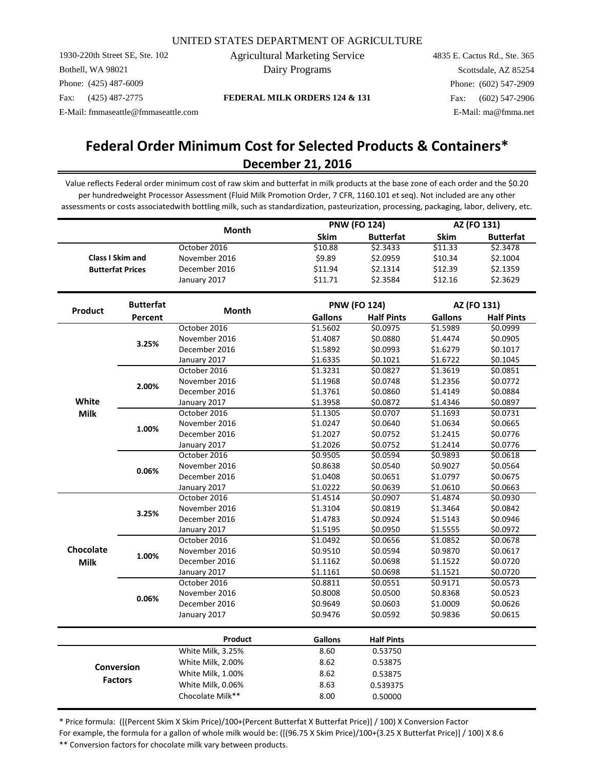1930-220th Street SE, Ste. 102 Bothell, WA 98021 Phone: (425) 487-6009 Fax: (425) 487-2775

Agricultural Marketing Service Dairy Programs

4835 E. Cactus Rd., Ste. 365 Scottsdale, AZ 85254 Phone: (602) 547-2909 Fax: (602) 547-2906 E-Mail: fmmaseattle@fmmaseattle.com E-Mail: ma@fmma.net

**FEDERAL MILK ORDERS 124 & 131**

# **December 21, 2016 Federal Order Minimum Cost for Selected Products & Containers\***

Value reflects Federal order minimum cost of raw skim and butterfat in milk products at the base zone of each order and the \$0.20 per hundredweight Processor Assessment (Fluid Milk Promotion Order, 7 CFR, 1160.101 et seq). Not included are any other assessments or costs associatedwith bottling milk, such as standardization, pasteurization, processing, packaging, labor, delivery, etc.

|                  |                         | Month             |                | <b>PNW (FO 124)</b> |                | AZ (FO 131)       |  |
|------------------|-------------------------|-------------------|----------------|---------------------|----------------|-------------------|--|
|                  |                         |                   | Skim           | <b>Butterfat</b>    | <b>Skim</b>    | <b>Butterfat</b>  |  |
|                  |                         | October 2016      | \$10.88        | \$2.3433            | \$11.33        | \$2.3478          |  |
|                  | <b>Class I Skim and</b> | November 2016     | \$9.89         | \$2.0959            | \$10.34        | \$2.1004          |  |
|                  | <b>Butterfat Prices</b> | December 2016     | \$11.94        | \$2.1314            | \$12.39        | \$2.1359          |  |
|                  |                         | January 2017      | \$11.71        | \$2.3584            | \$12.16        | \$2.3629          |  |
|                  | <b>Butterfat</b>        |                   |                | <b>PNW (FO 124)</b> |                | AZ (FO 131)       |  |
| Product          | Percent                 | <b>Month</b>      | <b>Gallons</b> | <b>Half Pints</b>   | <b>Gallons</b> | <b>Half Pints</b> |  |
|                  |                         | October 2016      | \$1.5602       | \$0.0975            | \$1.5989       | \$0.0999          |  |
|                  |                         | November 2016     | \$1.4087       | \$0.0880            | \$1.4474       | \$0.0905          |  |
|                  | 3.25%                   | December 2016     | \$1.5892       | \$0.0993            | \$1.6279       | \$0.1017          |  |
|                  |                         | January 2017      | \$1.6335       | \$0.1021            | \$1.6722       | \$0.1045          |  |
|                  |                         | October 2016      | \$1.3231       | \$0.0827            | \$1.3619       | \$0.0851          |  |
|                  | 2.00%                   | November 2016     | \$1.1968       | \$0.0748            | \$1.2356       | \$0.0772          |  |
|                  |                         | December 2016     | \$1.3761       | \$0.0860            | \$1.4149       | \$0.0884          |  |
| White            |                         | January 2017      | \$1.3958       | \$0.0872            | \$1.4346       | \$0.0897          |  |
| <b>Milk</b>      | 1.00%                   | October 2016      | \$1.1305       | \$0.0707            | \$1.1693       | \$0.0731          |  |
|                  |                         | November 2016     | \$1.0247       | \$0.0640            | \$1.0634       | \$0.0665          |  |
|                  |                         | December 2016     | \$1.2027       | \$0.0752            | \$1.2415       | \$0.0776          |  |
|                  |                         | January 2017      | \$1.2026       | \$0.0752            | \$1.2414       | \$0.0776          |  |
|                  |                         | October 2016      | \$0.9505       | \$0.0594            | \$0.9893       | \$0.0618          |  |
|                  | 0.06%                   | November 2016     | \$0.8638       | \$0.0540            | \$0.9027       | \$0.0564          |  |
|                  |                         | December 2016     | \$1.0408       | \$0.0651            | \$1.0797       | \$0.0675          |  |
|                  |                         | January 2017      | \$1.0222       | \$0.0639            | \$1.0610       | \$0.0663          |  |
|                  |                         | October 2016      | \$1.4514       | \$0.0907            | \$1.4874       | \$0.0930          |  |
|                  | 3.25%                   | November 2016     | \$1.3104       | \$0.0819            | \$1.3464       | \$0.0842          |  |
|                  |                         | December 2016     | \$1.4783       | \$0.0924            | \$1.5143       | \$0.0946          |  |
|                  |                         | January 2017      | \$1.5195       | \$0.0950            | \$1.5555       | \$0.0972          |  |
|                  |                         | October 2016      | \$1.0492       | \$0.0656            | \$1.0852       | \$0.0678          |  |
| <b>Chocolate</b> | 1.00%                   | November 2016     | \$0.9510       | \$0.0594            | \$0.9870       | \$0.0617          |  |
| <b>Milk</b>      |                         | December 2016     | \$1.1162       | \$0.0698            | \$1.1522       | \$0.0720          |  |
|                  |                         | January 2017      | \$1.1161       | \$0.0698            | \$1.1521       | \$0.0720          |  |
|                  |                         | October 2016      | \$0.8811       | \$0.0551            | \$0.9171       | \$0.0573          |  |
|                  | 0.06%                   | November 2016     | \$0.8008       | \$0.0500            | \$0.8368       | \$0.0523          |  |
|                  |                         | December 2016     | \$0.9649       | \$0.0603            | \$1.0009       | \$0.0626          |  |
|                  |                         | January 2017      | \$0.9476       | \$0.0592            | \$0.9836       | \$0.0615          |  |
|                  |                         | Product           | <b>Gallons</b> | <b>Half Pints</b>   |                |                   |  |
|                  |                         | White Milk, 3.25% | 8.60           | 0.53750             |                |                   |  |
|                  |                         | White Milk, 2.00% | 8.62           | 0.53875             |                |                   |  |
|                  | <b>Conversion</b>       | White Milk, 1.00% | 8.62           | 0.53875             |                |                   |  |
|                  | <b>Factors</b>          | White Milk, 0.06% | 8.63           | 0.539375            |                |                   |  |
|                  |                         | Chocolate Milk**  | 8.00           |                     |                |                   |  |
|                  |                         |                   |                | 0.50000             |                |                   |  |

\* Price formula: ([(Percent Skim X Skim Price)/100+(Percent Butterfat X Butterfat Price)] / 100) X Conversion Factor For example, the formula for a gallon of whole milk would be: ([(96.75 X Skim Price)/100+(3.25 X Butterfat Price)] / 100) X 8.6 \*\* Conversion factors for chocolate milk vary between products.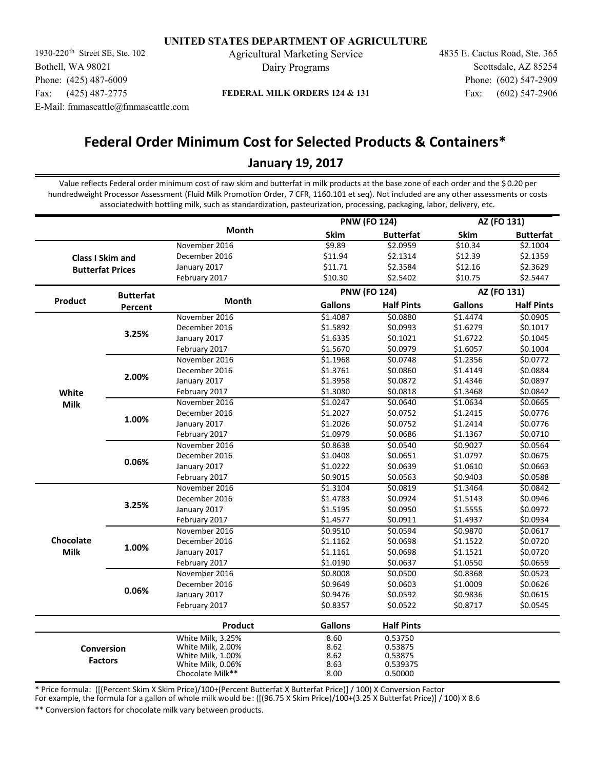1930-220<sup>th</sup> Street SE, Ste. 102 Agricultural Marketing Service 4835 E. Cactus Road, Ste. 365 Bothell, WA 98021 Phone: (425) 487-6009 Fax: (425) 487-2775 E-Mail: fmmaseattle@fmmaseattle.com

Dairy Programs

Fax: (602) 547-2906 Phone: (602) 547-2909 Scottsdale, AZ 85254

## **FEDERAL MILK ORDERS 124 & 131**

# **Federal Order Minimum Cost for Selected Products & Containers\* January 19, 2017**

Value reflects Federal order minimum cost of raw skim and butterfat in milk products at the base zone of each order and the \$ 0.20 per hundredweight Processor Assessment (Fluid Milk Promotion Order, 7 CFR, 1160.101 et seq). Not included are any other assessments or costs associatedwith bottling milk, such as standardization, pasteurization, processing, packaging, labor, delivery, etc.

|                         |                         |                   |                     | <b>PNW (FO 124)</b> | AZ (FO 131)    |                   |
|-------------------------|-------------------------|-------------------|---------------------|---------------------|----------------|-------------------|
|                         |                         | Month             | Skim                | <b>Butterfat</b>    | Skim           | <b>Butterfat</b>  |
|                         |                         | November 2016     | 59.89               | \$2.0959            | \$10.34        | \$2.1004          |
| <b>Class I Skim and</b> |                         | December 2016     | \$11.94             | \$2.1314            | \$12.39        | \$2.1359          |
|                         | <b>Butterfat Prices</b> | January 2017      | \$11.71             | \$2.3584            | \$12.16        | \$2.3629          |
|                         |                         | February 2017     | \$10.30             | \$2.5402            | \$10.75        | \$2.5447          |
|                         | <b>Butterfat</b>        |                   | <b>PNW (FO 124)</b> |                     | AZ (FO 131)    |                   |
| Product                 | Percent                 | Month             | <b>Gallons</b>      | <b>Half Pints</b>   | <b>Gallons</b> | <b>Half Pints</b> |
|                         |                         | November 2016     | \$1.4087            | \$0.0880            | \$1.4474       | 50.0905           |
|                         |                         | December 2016     | \$1.5892            | \$0.0993            | \$1.6279       | \$0.1017          |
|                         | 3.25%                   | January 2017      | \$1.6335            | \$0.1021            | \$1.6722       | \$0.1045          |
|                         |                         | February 2017     | \$1.5670            | \$0.0979            | \$1.6057       | \$0.1004          |
|                         |                         | November 2016     | \$1.1968            | \$0.0748            | \$1.2356       | \$0.0772          |
|                         | 2.00%                   | December 2016     | \$1.3761            | \$0.0860            | \$1.4149       | \$0.0884          |
|                         |                         | January 2017      | \$1.3958            | \$0.0872            | \$1.4346       | \$0.0897          |
| White                   |                         | February 2017     | \$1.3080            | \$0.0818            | \$1.3468       | \$0.0842          |
| <b>Milk</b>             |                         | November 2016     | \$1.0247            | \$0.0640            | \$1.0634       | \$0.0665          |
|                         |                         | December 2016     | \$1.2027            | \$0.0752            | \$1.2415       | \$0.0776          |
|                         | 1.00%                   | January 2017      | \$1.2026            | \$0.0752            | \$1.2414       | \$0.0776          |
|                         |                         | February 2017     | \$1.0979            | \$0.0686            | \$1.1367       | \$0.0710          |
|                         |                         | November 2016     | \$0.8638            | \$0.0540            | \$0.9027       | \$0.0564          |
|                         |                         | December 2016     | \$1.0408            | \$0.0651            | \$1.0797       | \$0.0675          |
|                         | 0.06%                   | January 2017      | \$1.0222            | \$0.0639            | \$1.0610       | \$0.0663          |
|                         |                         | February 2017     | \$0.9015            | \$0.0563            | \$0.9403       | \$0.0588          |
|                         |                         | November 2016     | \$1.3104            | \$0.0819            | \$1.3464       | \$0.0842          |
|                         |                         | December 2016     | \$1.4783            | \$0.0924            | \$1.5143       | \$0.0946          |
|                         | 3.25%                   | January 2017      | \$1.5195            | \$0.0950            | \$1.5555       | \$0.0972          |
|                         |                         | February 2017     | \$1.4577            | \$0.0911            | \$1.4937       | \$0.0934          |
|                         |                         | November 2016     | \$0.9510            | \$0.0594            | \$0.9870       | \$0.0617          |
| Chocolate               |                         | December 2016     | \$1.1162            | \$0.0698            | \$1.1522       | \$0.0720          |
| <b>Milk</b>             | 1.00%                   | January 2017      | \$1.1161            | \$0.0698            | \$1.1521       | \$0.0720          |
|                         |                         | February 2017     | \$1.0190            | \$0.0637            | \$1.0550       | \$0.0659          |
|                         |                         | November 2016     | \$0.8008            | \$0.0500            | \$0.8368       | \$0.0523          |
|                         |                         | December 2016     | \$0.9649            | \$0.0603            | \$1.0009       | \$0.0626          |
|                         | 0.06%                   | January 2017      | \$0.9476            | \$0.0592            | \$0.9836       | \$0.0615          |
|                         |                         | February 2017     | \$0.8357            | \$0.0522            | \$0.8717       | \$0.0545          |
|                         |                         | Product           | <b>Gallons</b>      | <b>Half Pints</b>   |                |                   |
|                         |                         | White Milk, 3.25% | 8.60                | 0.53750             |                |                   |
| Conversion              |                         | White Milk, 2.00% | 8.62                | 0.53875             |                |                   |
|                         |                         | White Milk, 1.00% | 8.62                | 0.53875             |                |                   |
| <b>Factors</b>          |                         | White Milk, 0.06% | 8.63                | 0.539375            |                |                   |
|                         |                         | Chocolate Milk**  | 8.00                | 0.50000             |                |                   |

\* Price formula: ([(Percent Skim X Skim Price)/100+(Percent Butterfat X Butterfat Price)] / 100) X Conversion Factor

For example, the formula for a gallon of whole milk would be: ([(96.75 X Skim Price)/100+(3.25 X Butterfat Price)] / 100) X 8.6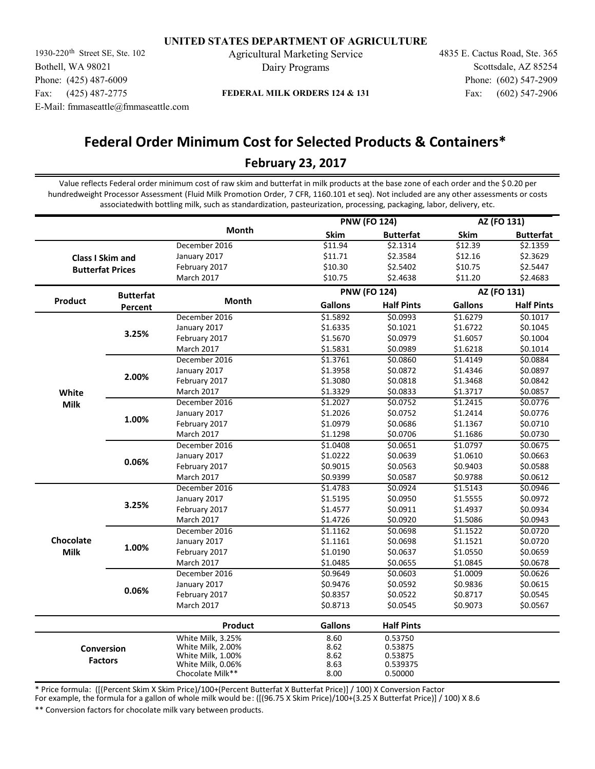1930-220<sup>th</sup> Street SE, Ste. 102 Agricultural Marketing Service 4835 E. Cactus Road, Ste. 365 Bothell, WA 98021 Phone: (425) 487-6009 Fax: (425) 487-2775 E-Mail: fmmaseattle@fmmaseattle.com

Dairy Programs

Fax: (602) 547-2906 Phone: (602) 547-2909 Scottsdale, AZ 85254

## **FEDERAL MILK ORDERS 124 & 131**

# **Federal Order Minimum Cost for Selected Products & Containers\* February 23, 2017**

Value reflects Federal order minimum cost of raw skim and butterfat in milk products at the base zone of each order and the \$ 0.20 per hundredweight Processor Assessment (Fluid Milk Promotion Order, 7 CFR, 1160.101 et seq). Not included are any other assessments or costs associatedwith bottling milk, such as standardization, pasteurization, processing, packaging, labor, delivery, etc.

|                         |                         |                   |                     | <b>PNW (FO 124)</b> |                | AZ (FO 131)       |
|-------------------------|-------------------------|-------------------|---------------------|---------------------|----------------|-------------------|
|                         |                         | Month             | Skim                | <b>Butterfat</b>    | Skim           | <b>Butterfat</b>  |
|                         |                         | December 2016     | \$11.94             | \$2.1314            | \$12.39        | \$2.1359          |
| <b>Class I Skim and</b> |                         | January 2017      | \$11.71             | \$2.3584            | \$12.16        | \$2.3629          |
|                         | <b>Butterfat Prices</b> | February 2017     | \$10.30             | \$2.5402            | \$10.75        | \$2.5447          |
|                         |                         | March 2017        | \$10.75             | \$2.4638            | \$11.20        | \$2.4683          |
|                         | <b>Butterfat</b>        |                   | <b>PNW (FO 124)</b> |                     | AZ (FO 131)    |                   |
| Product                 | Percent                 | Month             | <b>Gallons</b>      | <b>Half Pints</b>   | <b>Gallons</b> | <b>Half Pints</b> |
|                         |                         | December 2016     | \$1.5892            | \$0.0993            | \$1.6279       | \$0.1017          |
|                         |                         | January 2017      | \$1.6335            | \$0.1021            | \$1.6722       | \$0.1045          |
|                         | 3.25%                   | February 2017     | \$1.5670            | \$0.0979            | \$1.6057       | \$0.1004          |
|                         |                         | March 2017        | \$1.5831            | \$0.0989            | \$1.6218       | \$0.1014          |
|                         |                         | December 2016     | \$1.3761            | \$0.0860            | \$1.4149       | \$0.0884          |
|                         | 2.00%                   | January 2017      | \$1.3958            | \$0.0872            | \$1.4346       | \$0.0897          |
|                         |                         | February 2017     | \$1.3080            | \$0.0818            | \$1.3468       | \$0.0842          |
| White                   |                         | March 2017        | \$1.3329            | \$0.0833            | \$1.3717       | \$0.0857          |
| <b>Milk</b>             |                         | December 2016     | \$1.2027            | \$0.0752            | \$1.2415       | \$0.0776          |
|                         |                         | January 2017      | \$1.2026            | \$0.0752            | \$1.2414       | \$0.0776          |
|                         | 1.00%                   | February 2017     | \$1.0979            | \$0.0686            | \$1.1367       | \$0.0710          |
|                         |                         | March 2017        | \$1.1298            | \$0.0706            | \$1.1686       | \$0.0730          |
|                         |                         | December 2016     | \$1.0408            | \$0.0651            | \$1.0797       | \$0.0675          |
|                         |                         | January 2017      | \$1.0222            | \$0.0639            | \$1.0610       | \$0.0663          |
|                         | 0.06%                   | February 2017     | \$0.9015            | \$0.0563            | \$0.9403       | \$0.0588          |
|                         |                         | March 2017        | \$0.9399            | \$0.0587            | \$0.9788       | \$0.0612          |
|                         |                         | December 2016     | \$1.4783            | \$0.0924            | \$1.5143       | \$0.0946          |
|                         |                         | January 2017      | \$1.5195            | \$0.0950            | \$1.5555       | \$0.0972          |
|                         | 3.25%                   | February 2017     | \$1.4577            | \$0.0911            | \$1.4937       | \$0.0934          |
|                         |                         | March 2017        | \$1.4726            | \$0.0920            | \$1.5086       | \$0.0943          |
|                         |                         | December 2016     | \$1.1162            | \$0.0698            | \$1.1522       | \$0.0720          |
| Chocolate               |                         | January 2017      | \$1.1161            | \$0.0698            | \$1.1521       | \$0.0720          |
| <b>Milk</b>             | 1.00%                   | February 2017     | \$1.0190            | \$0.0637            | \$1.0550       | \$0.0659          |
|                         |                         | March 2017        | \$1.0485            | \$0.0655            | \$1.0845       | \$0.0678          |
|                         |                         | December 2016     | \$0.9649            | \$0.0603            | \$1.0009       | \$0.0626          |
|                         |                         | January 2017      | \$0.9476            | \$0.0592            | \$0.9836       | \$0.0615          |
|                         | 0.06%                   | February 2017     | \$0.8357            | \$0.0522            | \$0.8717       | \$0.0545          |
|                         |                         | <b>March 2017</b> | \$0.8713            | \$0.0545            | \$0.9073       | \$0.0567          |
|                         |                         | Product           | <b>Gallons</b>      | <b>Half Pints</b>   |                |                   |
|                         |                         | White Milk, 3.25% | 8.60                | 0.53750             |                |                   |
| Conversion              |                         | White Milk, 2.00% | 8.62                | 0.53875             |                |                   |
|                         |                         | White Milk, 1.00% | 8.62                | 0.53875             |                |                   |
| <b>Factors</b>          |                         | White Milk, 0.06% | 8.63                | 0.539375            |                |                   |
|                         |                         | Chocolate Milk**  | 8.00                | 0.50000             |                |                   |

\* Price formula: ([(Percent Skim X Skim Price)/100+(Percent Butterfat X Butterfat Price)] / 100) X Conversion Factor

For example, the formula for a gallon of whole milk would be: ([(96.75 X Skim Price)/100+(3.25 X Butterfat Price)] / 100) X 8.6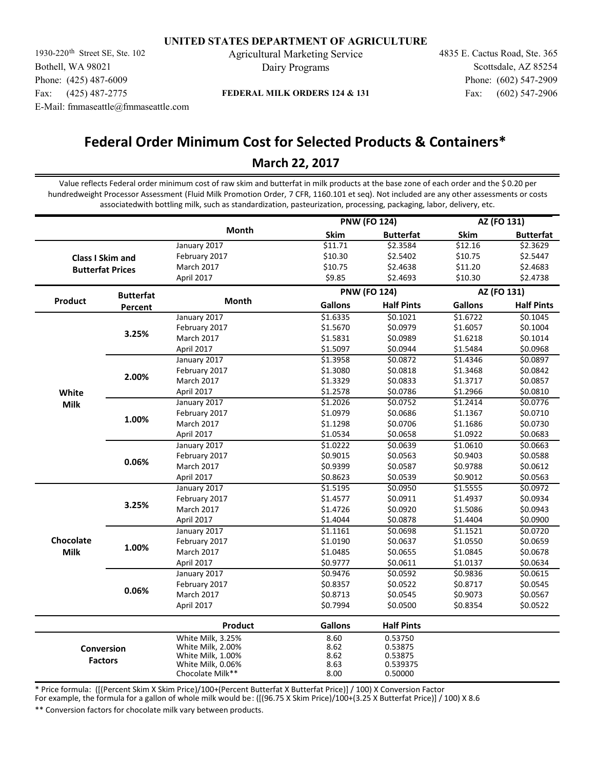1930-220<sup>th</sup> Street SE, Ste. 102 Agricultural Marketing Service 4835 E. Cactus Road, Ste. 365 Bothell, WA 98021 Phone: (425) 487-6009 Fax: (425) 487-2775 E-Mail: fmmaseattle@fmmaseattle.com

Dairy Programs

Fax: (602) 547-2906 Phone: (602) 547-2909 Scottsdale, AZ 85254

## **FEDERAL MILK ORDERS 124 & 131**

# **Federal Order Minimum Cost for Selected Products & Containers\* March 22, 2017**

Value reflects Federal order minimum cost of raw skim and butterfat in milk products at the base zone of each order and the \$ 0.20 per hundredweight Processor Assessment (Fluid Milk Promotion Order, 7 CFR, 1160.101 et seq). Not included are any other assessments or costs associatedwith bottling milk, such as standardization, pasteurization, processing, packaging, labor, delivery, etc.

|                         |                         |                   |                | <b>PNW (FO 124)</b> | AZ (FO 131)    |                   |  |
|-------------------------|-------------------------|-------------------|----------------|---------------------|----------------|-------------------|--|
|                         |                         | Month             | <b>Skim</b>    | <b>Butterfat</b>    | <b>Skim</b>    | <b>Butterfat</b>  |  |
|                         |                         | January 2017      | \$11.71        | \$2.3584            | \$12.16        | \$2.3629          |  |
|                         | <b>Class I Skim and</b> | February 2017     | \$10.30        | \$2.5402            | \$10.75        | \$2.5447          |  |
| <b>Butterfat Prices</b> |                         | March 2017        | \$10.75        | \$2.4638            | \$11.20        | \$2.4683          |  |
|                         |                         | April 2017        | \$9.85         | \$2.4693            | \$10.30        | \$2.4738          |  |
|                         | <b>Butterfat</b>        |                   |                | <b>PNW (FO 124)</b> |                | AZ (FO 131)       |  |
| Product                 | Percent                 | <b>Month</b>      | <b>Gallons</b> | <b>Half Pints</b>   | <b>Gallons</b> | <b>Half Pints</b> |  |
|                         |                         | January 2017      | \$1.6335       | \$0.1021            | \$1.6722       | \$0.1045          |  |
|                         |                         | February 2017     | \$1.5670       | \$0.0979            | \$1.6057       | \$0.1004          |  |
|                         | 3.25%                   | March 2017        | \$1.5831       | \$0.0989            | \$1.6218       | \$0.1014          |  |
|                         |                         | April 2017        | \$1.5097       | \$0.0944            | \$1.5484       | \$0.0968          |  |
|                         |                         | January 2017      | \$1.3958       | \$0.0872            | \$1.4346       | \$0.0897          |  |
|                         | 2.00%                   | February 2017     | \$1.3080       | \$0.0818            | \$1.3468       | \$0.0842          |  |
|                         |                         | March 2017        | \$1.3329       | \$0.0833            | \$1.3717       | \$0.0857          |  |
| White                   |                         | April 2017        | \$1.2578       | \$0.0786            | \$1.2966       | \$0.0810          |  |
| <b>Milk</b>             |                         | January 2017      | \$1.2026       | \$0.0752            | \$1.2414       | \$0.0776          |  |
|                         |                         | February 2017     | \$1.0979       | \$0.0686            | \$1.1367       | \$0.0710          |  |
|                         | 1.00%                   | March 2017        | \$1.1298       | \$0.0706            | \$1.1686       | \$0.0730          |  |
|                         |                         | April 2017        | \$1.0534       | \$0.0658            | \$1.0922       | \$0.0683          |  |
|                         |                         | January 2017      | \$1.0222       | \$0.0639            | \$1.0610       | \$0.0663          |  |
|                         |                         | February 2017     | \$0.9015       | \$0.0563            | \$0.9403       | \$0.0588          |  |
|                         | 0.06%                   | March 2017        | \$0.9399       | \$0.0587            | \$0.9788       | \$0.0612          |  |
|                         |                         | April 2017        | \$0.8623       | \$0.0539            | \$0.9012       | \$0.0563          |  |
|                         |                         | January 2017      | \$1.5195       | \$0.0950            | \$1.5555       | \$0.0972          |  |
|                         |                         | February 2017     | \$1.4577       | \$0.0911            | \$1.4937       | \$0.0934          |  |
|                         | 3.25%                   | <b>March 2017</b> | \$1.4726       | \$0.0920            | \$1.5086       | \$0.0943          |  |
|                         |                         | April 2017        | \$1.4044       | \$0.0878            | \$1.4404       | \$0.0900          |  |
|                         |                         | January 2017      | \$1.1161       | \$0.0698            | \$1.1521       | \$0.0720          |  |
| Chocolate               |                         | February 2017     | \$1.0190       | \$0.0637            | \$1.0550       | \$0.0659          |  |
| <b>Milk</b>             | 1.00%                   | March 2017        | \$1.0485       | \$0.0655            | \$1.0845       | \$0.0678          |  |
|                         |                         | April 2017        | \$0.9777       | \$0.0611            | \$1.0137       | \$0.0634          |  |
|                         |                         | January 2017      | \$0.9476       | \$0.0592            | \$0.9836       | \$0.0615          |  |
|                         |                         | February 2017     | \$0.8357       | \$0.0522            | \$0.8717       | \$0.0545          |  |
|                         | 0.06%                   | March 2017        | \$0.8713       | \$0.0545            | \$0.9073       | \$0.0567          |  |
|                         |                         | April 2017        | \$0.7994       | \$0.0500            | \$0.8354       | \$0.0522          |  |
|                         |                         | Product           | <b>Gallons</b> | <b>Half Pints</b>   |                |                   |  |
|                         |                         | White Milk, 3.25% | 8.60           | 0.53750             |                |                   |  |
|                         | <b>Conversion</b>       | White Milk, 2.00% | 8.62           | 0.53875             |                |                   |  |
|                         | <b>Factors</b>          | White Milk, 1.00% | 8.62           | 0.53875             |                |                   |  |
|                         |                         | White Milk, 0.06% | 8.63           | 0.539375            |                |                   |  |
|                         |                         | Chocolate Milk**  | 8.00           | 0.50000             |                |                   |  |

\* Price formula: ([(Percent Skim X Skim Price)/100+(Percent Butterfat X Butterfat Price)] / 100) X Conversion Factor

For example, the formula for a gallon of whole milk would be: ([(96.75 X Skim Price)/100+(3.25 X Butterfat Price)] / 100) X 8.6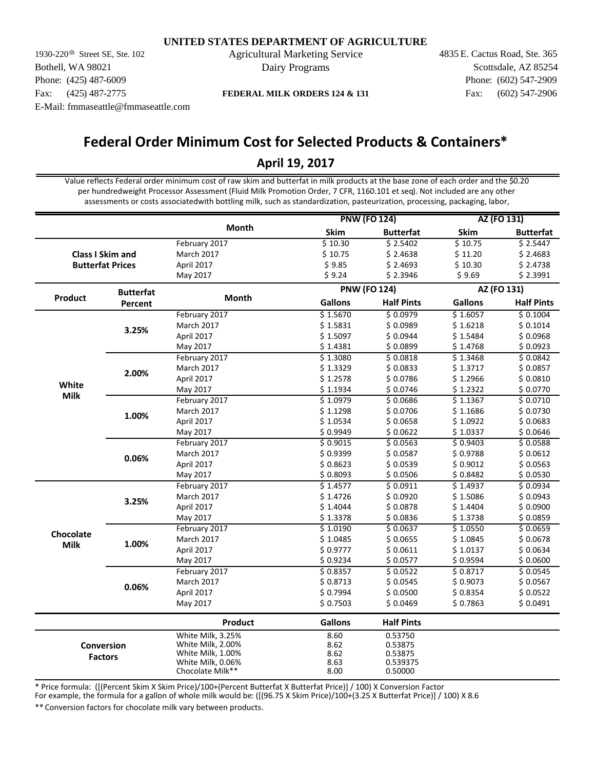1930-220<sup>th</sup> Street SE, Ste. 102 Agricultural Marketing Service 4835 E. Cactus Road, Ste. 365 Bothell, WA 98021 Phone: (425) 487-6009 Fax: (425) 487-2775 E-Mail: fmmaseattle@fmmaseattle.com

Dairy Programs

Fax: (602) 547-2906 Phone: (602) 547-2909 Scottsdale, AZ 85254

**FEDERAL MILK ORDERS 124 & 131**

# **Federal Order Minimum Cost for Selected Products & Containers\***

## **April 19, 2017**

Value reflects Federal order minimum cost of raw skim and butterfat in milk products at the base zone of each order and the \$0.20 per hundredweight Processor Assessment (Fluid Milk Promotion Order, 7 CFR, 1160.101 et seq). Not included are any other assessments or costs associatedwith bottling milk, such as standardization, pasteurization, processing, packaging, labor,

|             |                         |                                       | <b>PNW (FO 124)</b>  |                     | AZ (FO 131)    |                   |
|-------------|-------------------------|---------------------------------------|----------------------|---------------------|----------------|-------------------|
|             |                         | <b>Month</b>                          | <b>Skim</b>          | <b>Butterfat</b>    | <b>Skim</b>    | <b>Butterfat</b>  |
|             |                         | February 2017                         | \$10.30              | \$2.5402            | \$10.75        | \$2.5447          |
|             | <b>Class I Skim and</b> | March 2017                            | \$10.75              | \$2.4638            | \$11.20        | \$2.4683          |
|             | <b>Butterfat Prices</b> | April 2017                            | \$9.85               | \$2.4693            | \$10.30        | \$2.4738          |
|             |                         | May 2017                              | \$9.24               | \$2.3946            | \$9.69         | \$2.3991          |
|             | <b>Butterfat</b>        |                                       |                      | <b>PNW (FO 124)</b> |                | AZ (FO 131)       |
| Product     | Percent                 | Month                                 | <b>Gallons</b>       | <b>Half Pints</b>   | <b>Gallons</b> | <b>Half Pints</b> |
|             |                         | February 2017                         | \$1.5670             | \$0.0979            | \$1.6057       | \$0.1004          |
|             | 3.25%                   | <b>March 2017</b>                     | \$1.5831             | \$0.0989            | \$1.6218       | \$0.1014          |
|             |                         | April 2017                            | \$1.5097             | \$0.0944            | \$1.5484       | \$0.0968          |
|             |                         | May 2017                              | \$1.4381             | \$0.0899            | \$1.4768       | \$0.0923          |
|             |                         | February 2017                         | \$1.3080             | \$0.0818            | \$1.3468       | \$0.0842          |
|             | 2.00%                   | March 2017                            | \$1.3329             | \$0.0833            | \$1.3717       | \$0.0857          |
| White       |                         | April 2017                            | \$1.2578             | \$0.0786            | \$1.2966       | \$0.0810          |
|             |                         | May 2017                              | \$1.1934             | \$0.0746            | \$1.2322       | \$0.0770          |
| <b>Milk</b> | 1.00%                   | February 2017                         | \$1.0979             | \$0.0686            | \$1.1367       | \$0.0710          |
|             |                         | March 2017                            | \$1.1298             | \$0.0706            | \$1.1686       | \$0.0730          |
|             |                         | April 2017                            | \$1.0534             | \$0.0658            | \$1.0922       | \$0.0683          |
|             |                         | May 2017                              | \$0.9949             | \$0.0622            | \$1.0337       | \$0.0646          |
|             |                         | February 2017                         | \$0.9015             | \$0.0563            | \$0.9403       | \$0.0588          |
|             | 0.06%                   | March 2017                            | \$0.9399             | \$0.0587            | \$0.9788       | \$0.0612          |
|             |                         | April 2017                            | \$0.8623             | \$0.0539            | \$0.9012       | \$0.0563          |
|             |                         | May 2017                              | \$0.8093             | \$0.0506            | \$0.8482       | \$0.0530          |
|             |                         | February 2017                         | \$1.4577             | \$0.0911            | \$1.4937       | \$0.0934          |
|             | 3.25%                   | <b>March 2017</b>                     | \$1.4726             | \$0.0920            | \$1.5086       | \$0.0943          |
|             |                         | April 2017                            | \$1.4044             | \$0.0878            | \$1.4404       | \$0.0900          |
|             |                         | May 2017                              | \$1.3378             | \$0.0836            | \$1.3738       | \$0.0859          |
| Chocolate   |                         | February 2017                         | $\overline{$}1.0190$ | \$0.0637            | \$1.0550       | 50.0659           |
| <b>Milk</b> | 1.00%                   | March 2017                            | \$1.0485             | \$0.0655            | \$1.0845       | \$0.0678          |
|             |                         | April 2017                            | \$0.9777             | \$0.0611            | \$1.0137       | \$0.0634          |
|             |                         | May 2017                              | \$0.9234             | \$0.0577            | \$ 0.9594      | \$0.0600          |
|             |                         | February 2017                         | \$0.8357             | \$0.0522            | \$0.8717       | 50.0545           |
|             | 0.06%                   | March 2017                            | \$0.8713             | \$0.0545            | \$0.9073       | \$0.0567          |
|             |                         | April 2017                            | \$0.7994             | \$0.0500            | \$0.8354       | \$0.0522          |
|             |                         | May 2017                              | \$0.7503             | \$0.0469            | \$0.7863       | \$0.0491          |
|             |                         | Product                               | <b>Gallons</b>       | <b>Half Pints</b>   |                |                   |
|             |                         | White Milk, 3.25%                     | 8.60                 | 0.53750             |                |                   |
|             | Conversion              | White Milk, 2.00%                     | 8.62                 | 0.53875             |                |                   |
|             | <b>Factors</b>          | White Milk, 1.00%                     | 8.62                 | 0.53875             |                |                   |
|             |                         | White Milk, 0.06%<br>Chocolate Milk** | 8.63                 | 0.539375            |                |                   |
|             |                         |                                       | 8.00                 | 0.50000             |                |                   |

\* Price formula: ([(Percent Skim X Skim Price)/100+(Percent Butterfat X Butterfat Price)] / 100) X Conversion Factor

For example, the formula for a gallon of whole milk would be: ([(96.75 X Skim Price)/100+(3.25 X Butterfat Price)] / 100) X 8.6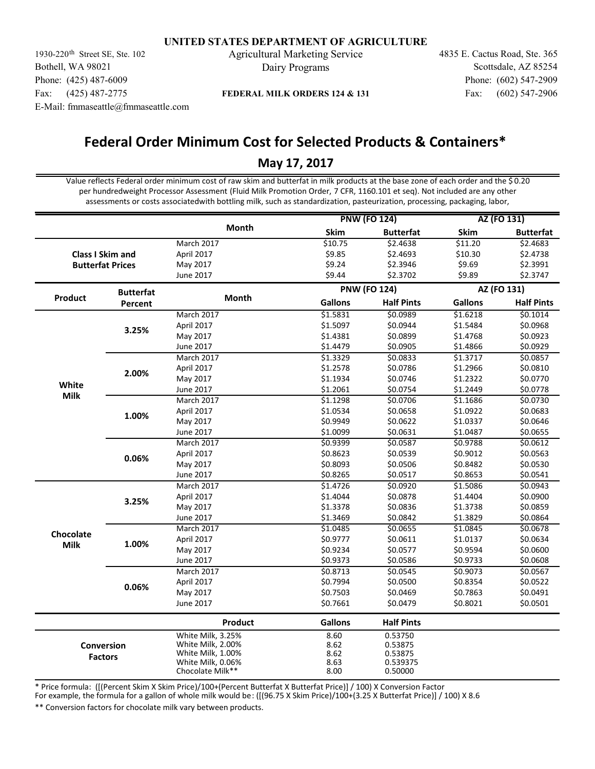1930-220<sup>th</sup> Street SE, Ste. 102 Agricultural Marketing Service 4835 E. Cactus Road, Ste. 365 Bothell, WA 98021 Phone: (425) 487-6009 Fax: (425) 487-2775 E-Mail: fmmaseattle@fmmaseattle.com

Dairy Programs

Fax: (602) 547-2906 Phone: (602) 547-2909 Scottsdale, AZ 85254

## **FEDERAL MILK ORDERS 124 & 131**

# **Federal Order Minimum Cost for Selected Products & Containers\***

## **May 17, 2017**

Value reflects Federal order minimum cost of raw skim and butterfat in milk products at the base zone of each order and the \$ 0.20 per hundredweight Processor Assessment (Fluid Milk Promotion Order, 7 CFR, 1160.101 et seq). Not included are any other assessments or costs associatedwith bottling milk, such as standardization, pasteurization, processing, packaging, labor,

|                |                         |                   | <b>PNW (FO 124)</b> |                   | AZ (FO 131)    |                   |
|----------------|-------------------------|-------------------|---------------------|-------------------|----------------|-------------------|
|                |                         | Month             | Skim                | <b>Butterfat</b>  | Skim           | <b>Butterfat</b>  |
|                |                         | March 2017        | \$10.75             | \$2.4638          | \$11.20        | \$2.4683          |
|                | <b>Class I Skim and</b> | April 2017        | \$9.85              | \$2.4693          | \$10.30        | \$2.4738          |
|                | <b>Butterfat Prices</b> | May 2017          | \$9.24              | \$2.3946          | \$9.69         | \$2.3991          |
|                |                         | June 2017         | \$9.44              | \$2.3702          | \$9.89         | \$2.3747          |
|                | <b>Butterfat</b>        |                   | <b>PNW (FO 124)</b> |                   | AZ (FO 131)    |                   |
| <b>Product</b> | Percent                 | Month             | <b>Gallons</b>      | <b>Half Pints</b> | <b>Gallons</b> | <b>Half Pints</b> |
|                |                         | March 2017        | \$1.5831            | \$0.0989          | \$1.6218       | \$0.1014          |
|                | 3.25%                   | April 2017        | \$1.5097            | \$0.0944          | \$1.5484       | \$0.0968          |
|                |                         | May 2017          | \$1.4381            | \$0.0899          | \$1.4768       | \$0.0923          |
|                |                         | June 2017         | \$1.4479            | \$0.0905          | \$1.4866       | \$0.0929          |
|                |                         | <b>March 2017</b> | \$1.3329            | \$0.0833          | \$1.3717       | \$0.0857          |
|                | 2.00%                   | April 2017        | \$1.2578            | \$0.0786          | \$1.2966       | \$0.0810          |
|                |                         | May 2017          | \$1.1934            | \$0.0746          | \$1.2322       | \$0.0770          |
| White          |                         | <b>June 2017</b>  | \$1.2061            | \$0.0754          | \$1.2449       | \$0.0778          |
| <b>Milk</b>    |                         | March 2017        | \$1.1298            | \$0.0706          | \$1.1686       | \$0.0730          |
|                | 1.00%                   | April 2017        | \$1.0534            | \$0.0658          | \$1.0922       | \$0.0683          |
|                |                         | May 2017          | \$0.9949            | \$0.0622          | \$1.0337       | \$0.0646          |
|                |                         | June 2017         | \$1.0099            | \$0.0631          | \$1.0487       | \$0.0655          |
|                |                         | March 2017        | \$0.9399            | \$0.0587          | \$0.9788       | \$0.0612          |
|                | 0.06%                   | April 2017        | \$0.8623            | \$0.0539          | \$0.9012       | \$0.0563          |
|                |                         | May 2017          | \$0.8093            | \$0.0506          | \$0.8482       | \$0.0530          |
|                |                         | June 2017         | \$0.8265            | \$0.0517          | \$0.8653       | \$0.0541          |
|                |                         | March 2017        | \$1.4726            | \$0.0920          | \$1.5086       | \$0.0943          |
|                | 3.25%                   | April 2017        | \$1.4044            | \$0.0878          | \$1.4404       | \$0.0900          |
|                |                         | May 2017          | \$1.3378            | \$0.0836          | \$1.3738       | \$0.0859          |
|                |                         | June 2017         | \$1.3469            | \$0.0842          | \$1.3829       | \$0.0864          |
| Chocolate      |                         | March 2017        | \$1.0485            | \$0.0655          | \$1.0845       | \$0.0678          |
| <b>Milk</b>    | 1.00%                   | April 2017        | \$0.9777            | \$0.0611          | \$1.0137       | \$0.0634          |
|                |                         | May 2017          | \$0.9234            | \$0.0577          | \$0.9594       | \$0.0600          |
|                |                         | June 2017         | \$0.9373            | \$0.0586          | \$0.9733       | \$0.0608          |
|                |                         | March 2017        | \$0.8713            | \$0.0545          | \$0.9073       | \$0.0567          |
|                | 0.06%                   | April 2017        | \$0.7994            | \$0.0500          | \$0.8354       | \$0.0522          |
|                |                         | May 2017          | \$0.7503            | \$0.0469          | \$0.7863       | \$0.0491          |
|                |                         | June 2017         | \$0.7661            | \$0.0479          | \$0.8021       | \$0.0501          |
|                |                         | Product           | <b>Gallons</b>      | <b>Half Pints</b> |                |                   |
|                |                         | White Milk, 3.25% | 8.60                | 0.53750           |                |                   |
|                | Conversion              | White Milk, 2.00% | 8.62                | 0.53875           |                |                   |
|                | <b>Factors</b>          | White Milk, 1.00% | 8.62                | 0.53875           |                |                   |
|                |                         | White Milk, 0.06% | 8.63                | 0.539375          |                |                   |
|                |                         | Chocolate Milk**  | 8.00                | 0.50000           |                |                   |

\* Price formula: ([(Percent Skim X Skim Price)/100+(Percent Butterfat X Butterfat Price)] / 100) X Conversion Factor

For example, the formula for a gallon of whole milk would be: ([(96.75 X Skim Price)/100+(3.25 X Butterfat Price)] / 100) X 8.6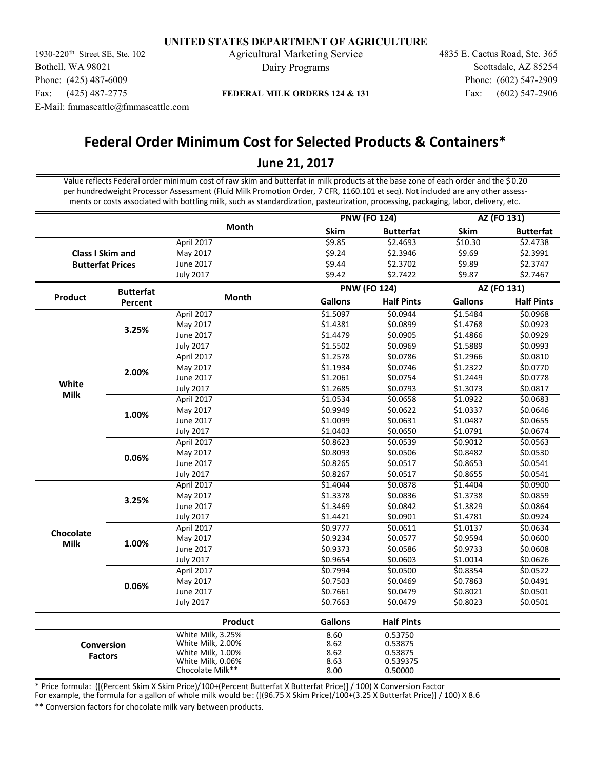1930-220<sup>th</sup> Street SE, Ste. 102 Agricultural Marketing Service 4835 E. Cactus Road, Ste. 365 Bothell, WA 98021 Phone: (425) 487-6009 Fax: (425) 487-2775 E-Mail: fmmaseattle@fmmaseattle.com

Dairy Programs

Fax: (602) 547-2906 Phone: (602) 547-2909 Scottsdale, AZ 85254

## **FEDERAL MILK ORDERS 124 & 131**

# **Federal Order Minimum Cost for Selected Products & Containers\***

## **June 21, 2017**

Value reflects Federal order minimum cost of raw skim and butterfat in milk products at the base zone of each order and the \$ 0.20 per hundredweight Processor Assessment (Fluid Milk Promotion Order, 7 CFR, 1160.101 et seq). Not included are any other assessments or costs associated with bottling milk, such as standardization, pasteurization, processing, packaging, labor, delivery, etc.

|             |                         |                                       |                     | <b>PNW (FO 124)</b> | AZ (FO 131)    |                   |
|-------------|-------------------------|---------------------------------------|---------------------|---------------------|----------------|-------------------|
|             |                         | <b>Month</b>                          | Skim                | <b>Butterfat</b>    | Skim           | <b>Butterfat</b>  |
|             |                         | April 2017                            | \$9.85              | \$2.4693            | \$10.30        | \$2.4738          |
|             | <b>Class I Skim and</b> | May 2017                              | \$9.24              | \$2.3946            | \$9.69         | \$2.3991          |
|             | <b>Butterfat Prices</b> | June 2017                             | \$9.44              | \$2.3702            | \$9.89         | \$2.3747          |
|             |                         | <b>July 2017</b>                      | \$9.42              | \$2.7422            | \$9.87         | \$2.7467          |
|             | <b>Butterfat</b>        |                                       | <b>PNW (FO 124)</b> |                     | AZ (FO 131)    |                   |
| Product     | Percent                 | <b>Month</b>                          | <b>Gallons</b>      | <b>Half Pints</b>   | <b>Gallons</b> | <b>Half Pints</b> |
|             |                         | April 2017                            | \$1.5097            | \$0.0944            | \$1.5484       | \$0.0968          |
|             | 3.25%                   | May 2017                              | \$1.4381            | \$0.0899            | \$1.4768       | \$0.0923          |
|             |                         | June 2017                             | \$1.4479            | \$0.0905            | \$1.4866       | \$0.0929          |
|             |                         | <b>July 2017</b>                      | \$1.5502            | \$0.0969            | \$1.5889       | \$0.0993          |
|             |                         | April 2017                            | \$1.2578            | \$0.0786            | \$1.2966       | \$0.0810          |
|             | 2.00%                   | May 2017                              | \$1.1934            | \$0.0746            | \$1.2322       | \$0.0770          |
|             |                         | June 2017                             | \$1.2061            | \$0.0754            | \$1.2449       | \$0.0778          |
| White       |                         | <b>July 2017</b>                      | \$1.2685            | \$0.0793            | \$1.3073       | \$0.0817          |
| <b>Milk</b> |                         | April 2017                            | \$1.0534            | \$0.0658            | \$1.0922       | \$0.0683          |
|             | 1.00%                   | May 2017                              | \$0.9949            | \$0.0622            | \$1.0337       | \$0.0646          |
|             |                         | June 2017                             | \$1.0099            | \$0.0631            | \$1.0487       | \$0.0655          |
|             |                         | <b>July 2017</b>                      | \$1.0403            | \$0.0650            | \$1.0791       | \$0.0674          |
|             |                         | April 2017                            | \$0.8623            | \$0.0539            | \$0.9012       | \$0.0563          |
|             | 0.06%                   | May 2017                              | \$0.8093            | \$0.0506            | \$0.8482       | \$0.0530          |
|             |                         | June 2017                             | \$0.8265            | \$0.0517            | \$0.8653       | \$0.0541          |
|             |                         | <b>July 2017</b>                      | \$0.8267            | \$0.0517            | \$0.8655       | \$0.0541          |
|             |                         | April 2017                            | \$1.4044            | \$0.0878            | \$1.4404       | \$0.0900          |
|             | 3.25%                   | May 2017                              | \$1.3378            | \$0.0836            | \$1.3738       | \$0.0859          |
|             |                         | June 2017                             | \$1.3469            | \$0.0842            | \$1.3829       | \$0.0864          |
|             |                         | <b>July 2017</b>                      | \$1.4421            | \$0.0901            | \$1.4781       | \$0.0924          |
|             |                         | April 2017                            | \$0.9777            | \$0.0611            | \$1.0137       | \$0.0634          |
| Chocolate   | 1.00%                   | May 2017                              | \$0.9234            | \$0.0577            | \$0.9594       | \$0.0600          |
| <b>Milk</b> |                         | June 2017                             | \$0.9373            | \$0.0586            | \$0.9733       | \$0.0608          |
|             |                         | <b>July 2017</b>                      | \$0.9654            | \$0.0603            | \$1.0014       | \$0.0626          |
|             |                         | April 2017                            | \$0.7994            | \$0.0500            | \$0.8354       | \$0.0522          |
|             |                         | May 2017                              | \$0.7503            | \$0.0469            | \$0.7863       | \$0.0491          |
|             | 0.06%                   | June 2017                             | \$0.7661            | \$0.0479            | \$0.8021       | \$0.0501          |
|             |                         | <b>July 2017</b>                      | \$0.7663            | \$0.0479            | \$0.8023       | \$0.0501          |
|             |                         | Product                               | <b>Gallons</b>      | <b>Half Pints</b>   |                |                   |
|             |                         | White Milk, 3.25%                     | 8.60                | 0.53750             |                |                   |
|             | Conversion              | White Milk, 2.00%                     | 8.62                | 0.53875             |                |                   |
|             | <b>Factors</b>          | White Milk, 1.00%                     | 8.62                | 0.53875             |                |                   |
|             |                         | White Milk, 0.06%<br>Chocolate Milk** | 8.63                | 0.539375            |                |                   |
|             |                         |                                       | 8.00                | 0.50000             |                |                   |

\* Price formula: ([(Percent Skim X Skim Price)/100+(Percent Butterfat X Butterfat Price)] / 100) X Conversion Factor

For example, the formula for a gallon of whole milk would be: ([(96.75 X Skim Price)/100+(3.25 X Butterfat Price)] / 100) X 8.6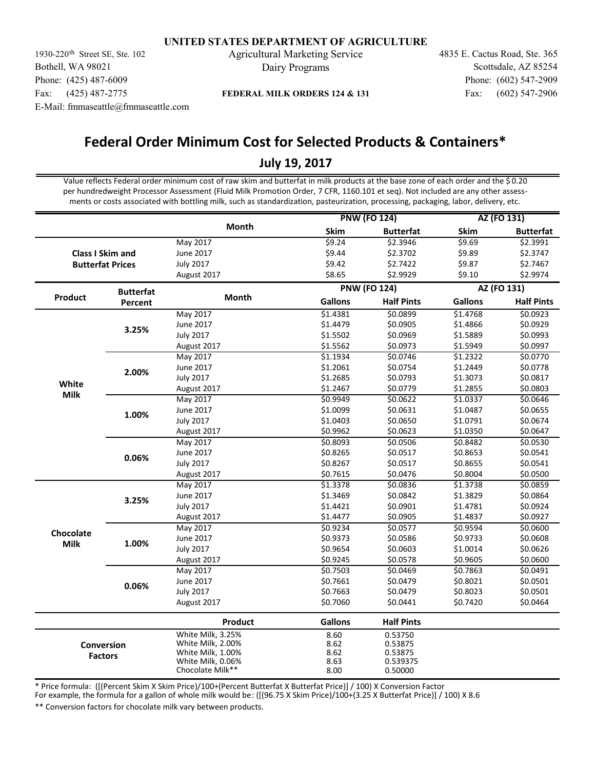1930-220<sup>th</sup> Street SE, Ste. 102 Agricultural Marketing Service 4835 E. Cactus Road, Ste. 365 Bothell, WA 98021 Phone: (425) 487-6009 Fax: (425) 487-2775 E-Mail: fmmaseattle@fmmaseattle.com

Dairy Programs

Fax: (602) 547-2906 Phone: (602) 547-2909 Scottsdale, AZ 85254

## **FEDERAL MILK ORDERS 124 & 131**

# **Federal Order Minimum Cost for Selected Products & Containers\***

# **July 19, 2017**

Value reflects Federal order minimum cost of raw skim and butterfat in milk products at the base zone of each order and the \$ 0.20 per hundredweight Processor Assessment (Fluid Milk Promotion Order, 7 CFR, 1160.101 et seq). Not included are any other assessments or costs associated with bottling milk, such as standardization, pasteurization, processing, packaging, labor, delivery, etc.

|                |                         |                   | <b>PNW (FO 124)</b> |                     | AZ (FO 131)    |                   |
|----------------|-------------------------|-------------------|---------------------|---------------------|----------------|-------------------|
|                |                         | <b>Month</b>      | Skim                | <b>Butterfat</b>    | <b>Skim</b>    | <b>Butterfat</b>  |
|                |                         | May 2017          | 59.24               | \$2.3946            | \$9.69         | \$2.3991          |
|                | <b>Class I Skim and</b> | June 2017         | \$9.44              | \$2.3702            | \$9.89         | \$2.3747          |
|                | <b>Butterfat Prices</b> | <b>July 2017</b>  | \$9.42              | \$2.7422            | \$9.87         | \$2.7467          |
|                |                         | August 2017       | \$8.65              | \$2.9929            | \$9.10         | \$2.9974          |
|                | <b>Butterfat</b>        |                   |                     | <b>PNW (FO 124)</b> |                | AZ (FO 131)       |
| <b>Product</b> | Percent                 | Month             | <b>Gallons</b>      | <b>Half Pints</b>   | <b>Gallons</b> | <b>Half Pints</b> |
|                |                         | May 2017          | \$1.4381            | \$0.0899            | \$1.4768       | \$0.0923          |
|                | 3.25%                   | June 2017         | \$1.4479            | \$0.0905            | \$1.4866       | \$0.0929          |
|                |                         | <b>July 2017</b>  | \$1.5502            | \$0.0969            | \$1.5889       | \$0.0993          |
|                |                         | August 2017       | \$1.5562            | \$0.0973            | \$1.5949       | \$0.0997          |
|                |                         | May 2017          | \$1.1934            | \$0.0746            | \$1.2322       | \$0.0770          |
|                | 2.00%                   | June 2017         | \$1.2061            | \$0.0754            | \$1.2449       | \$0.0778          |
|                |                         | <b>July 2017</b>  | \$1.2685            | \$0.0793            | \$1.3073       | \$0.0817          |
| White          |                         | August 2017       | \$1.2467            | \$0.0779            | \$1.2855       | \$0.0803          |
| <b>Milk</b>    |                         | <b>May 2017</b>   | \$0.9949            | \$0.0622            | \$1.0337       | \$0.0646          |
|                | 1.00%                   | June 2017         | \$1.0099            | \$0.0631            | \$1.0487       | \$0.0655          |
|                |                         | <b>July 2017</b>  | \$1.0403            | \$0.0650            | \$1.0791       | \$0.0674          |
|                |                         | August 2017       | \$0.9962            | \$0.0623            | \$1.0350       | \$0.0647          |
|                |                         | May 2017          | \$0.8093            | \$0.0506            | \$0.8482       | \$0.0530          |
|                | 0.06%                   | June 2017         | \$0.8265            | \$0.0517            | \$0.8653       | \$0.0541          |
|                |                         | <b>July 2017</b>  | \$0.8267            | \$0.0517            | \$0.8655       | \$0.0541          |
|                |                         | August 2017       | \$0.7615            | \$0.0476            | \$0.8004       | \$0.0500          |
|                |                         | May 2017          | \$1.3378            | \$0.0836            | \$1.3738       | \$0.0859          |
|                |                         | June 2017         | \$1.3469            | \$0.0842            | \$1.3829       | \$0.0864          |
|                | 3.25%                   | <b>July 2017</b>  | \$1.4421            | \$0.0901            | \$1.4781       | \$0.0924          |
|                |                         | August 2017       | \$1.4477            | \$0.0905            | \$1.4837       | \$0.0927          |
|                |                         | May 2017          | \$0.9234            | \$0.0577            | \$0.9594       | \$0.0600          |
| Chocolate      |                         | June 2017         | \$0.9373            | \$0.0586            | \$0.9733       | \$0.0608          |
| <b>Milk</b>    | 1.00%                   | <b>July 2017</b>  | \$0.9654            | \$0.0603            | \$1.0014       | \$0.0626          |
|                |                         | August 2017       | \$0.9245            | \$0.0578            | \$0.9605       | \$0.0600          |
|                |                         | May 2017          | \$0.7503            | \$0.0469            | \$0.7863       | \$0.0491          |
|                |                         | June 2017         | \$0.7661            | \$0.0479            | \$0.8021       | \$0.0501          |
|                | 0.06%                   | <b>July 2017</b>  | \$0.7663            | \$0.0479            | \$0.8023       | \$0.0501          |
|                |                         | August 2017       | \$0.7060            | \$0.0441            | \$0.7420       | \$0.0464          |
|                |                         | Product           | <b>Gallons</b>      | <b>Half Pints</b>   |                |                   |
|                |                         | White Milk, 3.25% | 8.60                | 0.53750             |                |                   |
|                | Conversion              | White Milk, 2.00% | 8.62                | 0.53875             |                |                   |
|                | <b>Factors</b>          | White Milk, 1.00% | 8.62                | 0.53875             |                |                   |
|                |                         | White Milk, 0.06% | 8.63                | 0.539375            |                |                   |
|                |                         | Chocolate Milk**  | 8.00                | 0.50000             |                |                   |

\* Price formula: ([(Percent Skim X Skim Price)/100+(Percent Butterfat X Butterfat Price)] / 100) X Conversion Factor

For example, the formula for a gallon of whole milk would be: ([(96.75 X Skim Price)/100+(3.25 X Butterfat Price)] / 100) X 8.6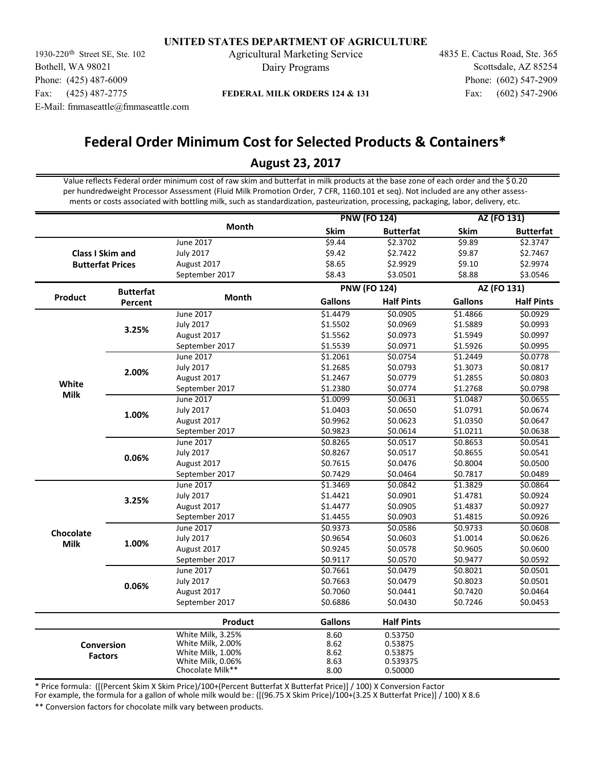1930-220<sup>th</sup> Street SE, Ste. 102 Agricultural Marketing Service 4835 E. Cactus Road, Ste. 365 Bothell, WA 98021 Phone: (425) 487-6009 Fax: (425) 487-2775 E-Mail: fmmaseattle@fmmaseattle.com

Dairy Programs

Fax: (602) 547-2906 Phone: (602) 547-2909 Scottsdale, AZ 85254

## **FEDERAL MILK ORDERS 124 & 131**

# **Federal Order Minimum Cost for Selected Products & Containers\***

## **August 23, 2017**

Value reflects Federal order minimum cost of raw skim and butterfat in milk products at the base zone of each order and the \$ 0.20 per hundredweight Processor Assessment (Fluid Milk Promotion Order, 7 CFR, 1160.101 et seq). Not included are any other assessments or costs associated with bottling milk, such as standardization, pasteurization, processing, packaging, labor, delivery, etc.

|                |                         |                                       | <b>PNW (FO 124)</b> |                   | AZ (FO 131)    |                   |
|----------------|-------------------------|---------------------------------------|---------------------|-------------------|----------------|-------------------|
|                |                         | Month                                 | Skim                | <b>Butterfat</b>  | Skim           | <b>Butterfat</b>  |
|                |                         | June 2017                             | \$9.44              | \$2.3702          | \$9.89         | \$2.3747          |
|                | <b>Class I Skim and</b> | <b>July 2017</b>                      | \$9.42              | \$2.7422          | \$9.87         | \$2.7467          |
|                | <b>Butterfat Prices</b> | August 2017                           | \$8.65              | \$2.9929          | \$9.10         | \$2.9974          |
|                |                         | September 2017                        | \$8.43              | \$3.0501          | \$8.88         | \$3.0546          |
|                | <b>Butterfat</b>        |                                       | <b>PNW (FO 124)</b> |                   |                | AZ (FO 131)       |
| <b>Product</b> | Percent                 | Month                                 | <b>Gallons</b>      | <b>Half Pints</b> | <b>Gallons</b> | <b>Half Pints</b> |
|                |                         | June 2017                             | \$1.4479            | \$0.0905          | \$1.4866       | \$0.0929          |
|                | 3.25%                   | <b>July 2017</b>                      | \$1.5502            | \$0.0969          | \$1.5889       | \$0.0993          |
|                |                         | August 2017                           | \$1.5562            | \$0.0973          | \$1.5949       | \$0.0997          |
|                |                         | September 2017                        | \$1.5539            | \$0.0971          | \$1.5926       | \$0.0995          |
|                |                         | June 2017                             | \$1.2061            | \$0.0754          | \$1.2449       | \$0.0778          |
|                | 2.00%                   | <b>July 2017</b>                      | \$1.2685            | \$0.0793          | \$1.3073       | \$0.0817          |
|                |                         | August 2017                           | \$1.2467            | \$0.0779          | \$1.2855       | \$0.0803          |
| White          |                         | September 2017                        | \$1.2380            | \$0.0774          | \$1.2768       | \$0.0798          |
| <b>Milk</b>    |                         | June 2017                             | \$1.0099            | \$0.0631          | \$1.0487       | \$0.0655          |
|                | 1.00%                   | <b>July 2017</b>                      | \$1.0403            | \$0.0650          | \$1.0791       | \$0.0674          |
|                |                         | August 2017                           | \$0.9962            | \$0.0623          | \$1.0350       | \$0.0647          |
|                |                         | September 2017                        | \$0.9823            | \$0.0614          | \$1.0211       | \$0.0638          |
|                |                         | June 2017                             | \$0.8265            | \$0.0517          | \$0.8653       | \$0.0541          |
|                | 0.06%                   | <b>July 2017</b>                      | \$0.8267            | \$0.0517          | \$0.8655       | \$0.0541          |
|                |                         | August 2017                           | \$0.7615            | \$0.0476          | \$0.8004       | \$0.0500          |
|                |                         | September 2017                        | \$0.7429            | \$0.0464          | \$0.7817       | \$0.0489          |
|                |                         | June 2017                             | 51.3469             | \$0.0842          | \$1.3829       | \$0.0864          |
|                | 3.25%                   | <b>July 2017</b>                      | \$1.4421            | \$0.0901          | \$1.4781       | \$0.0924          |
|                |                         | August 2017                           | \$1.4477            | \$0.0905          | \$1.4837       | \$0.0927          |
|                |                         | September 2017                        | \$1.4455            | \$0.0903          | \$1.4815       | \$0.0926          |
|                |                         | June 2017                             | \$0.9373            | \$0.0586          | \$0.9733       | \$0.0608          |
| Chocolate      |                         | <b>July 2017</b>                      | \$0.9654            | \$0.0603          | \$1.0014       | \$0.0626          |
| <b>Milk</b>    | 1.00%                   | August 2017                           | \$0.9245            | \$0.0578          | \$0.9605       | \$0.0600          |
|                |                         | September 2017                        | \$0.9117            | \$0.0570          | \$0.9477       | \$0.0592          |
|                |                         | June 2017                             | \$0.7661            | \$0.0479          | \$0.8021       | \$0.0501          |
|                |                         | <b>July 2017</b>                      | \$0.7663            | \$0.0479          | \$0.8023       | \$0.0501          |
|                | 0.06%                   | August 2017                           | \$0.7060            | \$0.0441          | \$0.7420       | \$0.0464          |
|                |                         | September 2017                        | \$0.6886            | \$0.0430          | \$0.7246       | \$0.0453          |
|                |                         | Product                               | <b>Gallons</b>      | <b>Half Pints</b> |                |                   |
|                |                         | White Milk, 3.25%                     | 8.60                | 0.53750           |                |                   |
|                | <b>Conversion</b>       | White Milk, 2.00%                     | 8.62                | 0.53875           |                |                   |
|                | <b>Factors</b>          | White Milk, 1.00%                     | 8.62                | 0.53875           |                |                   |
|                |                         | White Milk, 0.06%<br>Chocolate Milk** | 8.63                | 0.539375          |                |                   |
|                |                         |                                       | 8.00                | 0.50000           |                |                   |

\* Price formula: ([(Percent Skim X Skim Price)/100+(Percent Butterfat X Butterfat Price)] / 100) X Conversion Factor

For example, the formula for a gallon of whole milk would be: ([(96.75 X Skim Price)/100+(3.25 X Butterfat Price)] / 100) X 8.6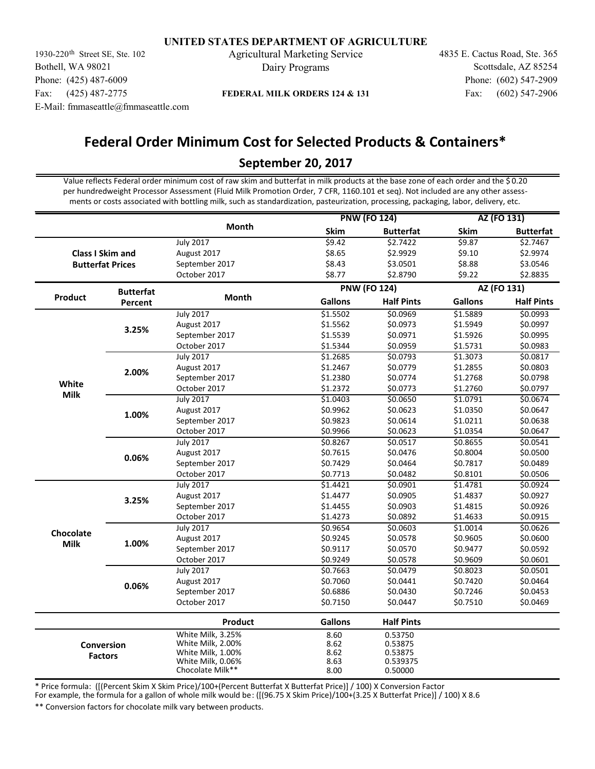1930-220<sup>th</sup> Street SE, Ste. 102 Agricultural Marketing Service 4835 E. Cactus Road, Ste. 365 Bothell, WA 98021 Phone: (425) 487-6009 Fax: (425) 487-2775 E-Mail: fmmaseattle@fmmaseattle.com

Dairy Programs

Fax: (602) 547-2906 Phone: (602) 547-2909 Scottsdale, AZ 85254

## **FEDERAL MILK ORDERS 124 & 131**

# **Federal Order Minimum Cost for Selected Products & Containers\***

# **September 20, 2017**

Value reflects Federal order minimum cost of raw skim and butterfat in milk products at the base zone of each order and the \$ 0.20 per hundredweight Processor Assessment (Fluid Milk Promotion Order, 7 CFR, 1160.101 et seq). Not included are any other assessments or costs associated with bottling milk, such as standardization, pasteurization, processing, packaging, labor, delivery, etc.

|                |                         |                   | <b>PNW (FO 124)</b> |                     | AZ (FO 131)    |                   |
|----------------|-------------------------|-------------------|---------------------|---------------------|----------------|-------------------|
|                |                         | <b>Month</b>      | Skim                | <b>Butterfat</b>    | <b>Skim</b>    | <b>Butterfat</b>  |
|                |                         | <b>July 2017</b>  | \$9.42              | \$2.7422            | \$9.87         | \$2.7467          |
|                | <b>Class I Skim and</b> | August 2017       | \$8.65              | \$2.9929            | \$9.10         | \$2.9974          |
|                | <b>Butterfat Prices</b> | September 2017    | \$8.43              | \$3.0501            | \$8.88         | \$3.0546          |
|                |                         | October 2017      | \$8.77              | \$2.8790            | \$9.22         | \$2.8835          |
|                | <b>Butterfat</b>        |                   |                     | <b>PNW (FO 124)</b> |                | AZ (FO 131)       |
| <b>Product</b> | Percent                 | Month             | <b>Gallons</b>      | <b>Half Pints</b>   | <b>Gallons</b> | <b>Half Pints</b> |
|                |                         | <b>July 2017</b>  | \$1.5502            | \$0.0969            | \$1.5889       | \$0.0993          |
|                | 3.25%                   | August 2017       | \$1.5562            | \$0.0973            | \$1.5949       | \$0.0997          |
|                |                         | September 2017    | \$1.5539            | \$0.0971            | \$1.5926       | \$0.0995          |
|                |                         | October 2017      | \$1.5344            | \$0.0959            | \$1.5731       | \$0.0983          |
|                |                         | <b>July 2017</b>  | \$1.2685            | \$0.0793            | \$1.3073       | \$0.0817          |
|                | 2.00%                   | August 2017       | \$1.2467            | \$0.0779            | \$1.2855       | \$0.0803          |
|                |                         | September 2017    | \$1.2380            | \$0.0774            | \$1.2768       | \$0.0798          |
| White          |                         | October 2017      | \$1.2372            | \$0.0773            | \$1.2760       | \$0.0797          |
| <b>Milk</b>    |                         | <b>July 2017</b>  | \$1.0403            | \$0.0650            | \$1.0791       | \$0.0674          |
|                | 1.00%                   | August 2017       | \$0.9962            | \$0.0623            | \$1.0350       | \$0.0647          |
|                |                         | September 2017    | \$0.9823            | \$0.0614            | \$1.0211       | \$0.0638          |
|                |                         | October 2017      | \$0.9966            | \$0.0623            | \$1.0354       | \$0.0647          |
|                |                         | <b>July 2017</b>  | \$0.8267            | \$0.0517            | \$0.8655       | \$0.0541          |
|                | 0.06%                   | August 2017       | \$0.7615            | \$0.0476            | \$0.8004       | \$0.0500          |
|                |                         | September 2017    | \$0.7429            | \$0.0464            | \$0.7817       | \$0.0489          |
|                |                         | October 2017      | \$0.7713            | \$0.0482            | \$0.8101       | \$0.0506          |
|                |                         | <b>July 2017</b>  | \$1.4421            | \$0.0901            | \$1.4781       | \$0.0924          |
|                | 3.25%                   | August 2017       | \$1.4477            | \$0.0905            | \$1.4837       | \$0.0927          |
|                |                         | September 2017    | \$1.4455            | \$0.0903            | \$1.4815       | \$0.0926          |
|                |                         | October 2017      | \$1.4273            | \$0.0892            | \$1.4633       | \$0.0915          |
|                |                         | <b>July 2017</b>  | \$0.9654            | \$0.0603            | \$1.0014       | \$0.0626          |
| Chocolate      | 1.00%                   | August 2017       | \$0.9245            | \$0.0578            | \$0.9605       | \$0.0600          |
| <b>Milk</b>    |                         | September 2017    | \$0.9117            | \$0.0570            | \$0.9477       | \$0.0592          |
|                |                         | October 2017      | \$0.9249            | \$0.0578            | \$0.9609       | \$0.0601          |
|                |                         | <b>July 2017</b>  | \$0.7663            | \$0.0479            | \$0.8023       | \$0.0501          |
|                |                         | August 2017       | \$0.7060            | \$0.0441            | \$0.7420       | \$0.0464          |
|                | 0.06%                   | September 2017    | \$0.6886            | \$0.0430            | \$0.7246       | \$0.0453          |
|                |                         | October 2017      | \$0.7150            | \$0.0447            | \$0.7510       | \$0.0469          |
|                |                         | <b>Product</b>    | <b>Gallons</b>      | <b>Half Pints</b>   |                |                   |
|                |                         | White Milk, 3.25% | 8.60                | 0.53750             |                |                   |
|                | Conversion              | White Milk, 2.00% | 8.62                | 0.53875             |                |                   |
|                | <b>Factors</b>          | White Milk, 1.00% | 8.62                | 0.53875             |                |                   |
|                |                         | White Milk, 0.06% | 8.63                | 0.539375            |                |                   |
|                |                         | Chocolate Milk**  | 8.00                | 0.50000             |                |                   |

\* Price formula: ([(Percent Skim X Skim Price)/100+(Percent Butterfat X Butterfat Price)] / 100) X Conversion Factor

For example, the formula for a gallon of whole milk would be: ([(96.75 X Skim Price)/100+(3.25 X Butterfat Price)] / 100) X 8.6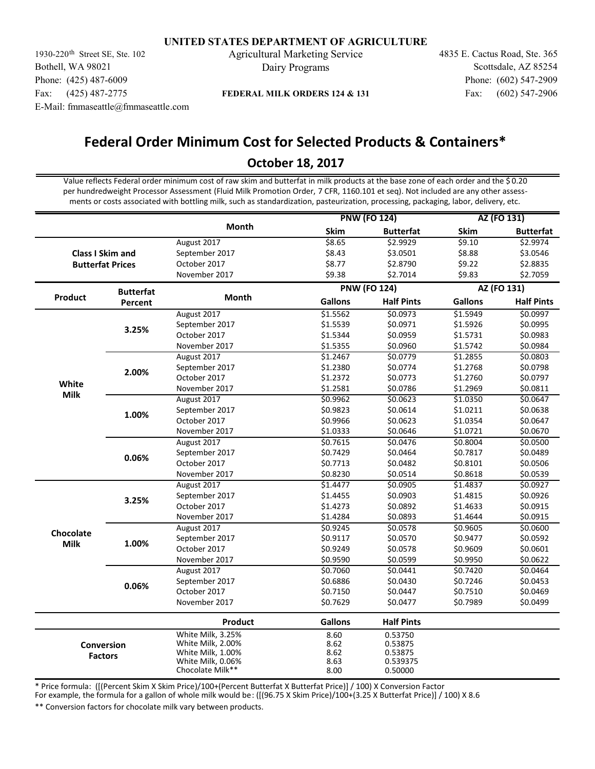1930-220<sup>th</sup> Street SE, Ste. 102 Agricultural Marketing Service 4835 E. Cactus Road, Ste. 365 Bothell, WA 98021 Phone: (425) 487-6009 Fax: (425) 487-2775 E-Mail: fmmaseattle@fmmaseattle.com

Dairy Programs

Fax: (602) 547-2906 Phone: (602) 547-2909 Scottsdale, AZ 85254

## **FEDERAL MILK ORDERS 124 & 131**

# **Federal Order Minimum Cost for Selected Products & Containers\***

# **October 18, 2017**

Value reflects Federal order minimum cost of raw skim and butterfat in milk products at the base zone of each order and the \$ 0.20 per hundredweight Processor Assessment (Fluid Milk Promotion Order, 7 CFR, 1160.101 et seq). Not included are any other assessments or costs associated with bottling milk, such as standardization, pasteurization, processing, packaging, labor, delivery, etc.

|                |                         |                                       | <b>PNW (FO 124)</b> |                   | AZ (FO 131)    |                   |
|----------------|-------------------------|---------------------------------------|---------------------|-------------------|----------------|-------------------|
|                |                         | <b>Month</b>                          | Skim                | <b>Butterfat</b>  | <b>Skim</b>    | <b>Butterfat</b>  |
|                |                         | August 2017                           | \$8.65              | \$2.9929          | \$9.10         | \$2.9974          |
|                | <b>Class I Skim and</b> | September 2017                        | \$8.43              | \$3.0501          | \$8.88         | \$3.0546          |
|                | <b>Butterfat Prices</b> | October 2017                          | \$8.77              | \$2.8790          | \$9.22         | \$2.8835          |
|                |                         | November 2017                         | \$9.38              | \$2.7014          | \$9.83         | \$2.7059          |
|                | <b>Butterfat</b>        |                                       | <b>PNW (FO 124)</b> |                   |                | AZ (FO 131)       |
| <b>Product</b> | Percent                 | Month                                 | <b>Gallons</b>      | <b>Half Pints</b> | <b>Gallons</b> | <b>Half Pints</b> |
|                |                         | August 2017                           | \$1.5562            | \$0.0973          | \$1.5949       | \$0.0997          |
|                | 3.25%                   | September 2017                        | \$1.5539            | \$0.0971          | \$1.5926       | \$0.0995          |
|                |                         | October 2017                          | \$1.5344            | \$0.0959          | \$1.5731       | \$0.0983          |
|                |                         | November 2017                         | \$1.5355            | \$0.0960          | \$1.5742       | \$0.0984          |
|                |                         | August 2017                           | \$1.2467            | \$0.0779          | \$1.2855       | \$0.0803          |
|                | 2.00%                   | September 2017                        | \$1.2380            | \$0.0774          | \$1.2768       | \$0.0798          |
|                |                         | October 2017                          | \$1.2372            | \$0.0773          | \$1.2760       | \$0.0797          |
| White          |                         | November 2017                         | \$1.2581            | \$0.0786          | \$1.2969       | \$0.0811          |
| <b>Milk</b>    | 1.00%                   | August 2017                           | \$0.9962            | \$0.0623          | \$1.0350       | \$0.0647          |
|                |                         | September 2017                        | \$0.9823            | \$0.0614          | \$1.0211       | \$0.0638          |
|                |                         | October 2017                          | \$0.9966            | \$0.0623          | \$1.0354       | \$0.0647          |
|                |                         | November 2017                         | \$1.0333            | \$0.0646          | \$1.0721       | \$0.0670          |
|                |                         | August 2017                           | \$0.7615            | \$0.0476          | \$0.8004       | \$0.0500          |
|                | 0.06%                   | September 2017                        | \$0.7429            | \$0.0464          | \$0.7817       | \$0.0489          |
|                |                         | October 2017                          | \$0.7713            | \$0.0482          | \$0.8101       | \$0.0506          |
|                |                         | November 2017                         | \$0.8230            | \$0.0514          | \$0.8618       | \$0.0539          |
|                |                         | August 2017                           | \$1.4477            | \$0.0905          | \$1.4837       | \$0.0927          |
|                | 3.25%                   | September 2017                        | \$1.4455            | \$0.0903          | \$1.4815       | \$0.0926          |
|                |                         | October 2017                          | \$1.4273            | \$0.0892          | \$1.4633       | \$0.0915          |
|                |                         | November 2017                         | \$1.4284            | \$0.0893          | \$1.4644       | \$0.0915          |
|                |                         | August 2017                           | \$0.9245            | \$0.0578          | \$0.9605       | \$0.0600          |
| Chocolate      |                         | September 2017                        | \$0.9117            | \$0.0570          | \$0.9477       | \$0.0592          |
| <b>Milk</b>    | 1.00%                   | October 2017                          | \$0.9249            | \$0.0578          | \$0.9609       | \$0.0601          |
|                |                         | November 2017                         | \$0.9590            | \$0.0599          | \$0.9950       | \$0.0622          |
|                |                         | August 2017                           | \$0.7060            | \$0.0441          | \$0.7420       | \$0.0464          |
|                |                         | September 2017                        | \$0.6886            | \$0.0430          | \$0.7246       | \$0.0453          |
|                | 0.06%                   | October 2017                          | \$0.7150            | \$0.0447          | \$0.7510       | \$0.0469          |
|                |                         | November 2017                         | \$0.7629            | \$0.0477          | \$0.7989       | \$0.0499          |
|                |                         | <b>Product</b>                        | <b>Gallons</b>      | <b>Half Pints</b> |                |                   |
|                |                         | White Milk, 3.25%                     | 8.60                | 0.53750           |                |                   |
|                | Conversion              | White Milk, 2.00%                     | 8.62                | 0.53875           |                |                   |
|                | <b>Factors</b>          | White Milk, 1.00%                     | 8.62                | 0.53875           |                |                   |
|                |                         | White Milk, 0.06%<br>Chocolate Milk** | 8.63                | 0.539375          |                |                   |
|                |                         |                                       | 8.00                | 0.50000           |                |                   |

\* Price formula: ([(Percent Skim X Skim Price)/100+(Percent Butterfat X Butterfat Price)] / 100) X Conversion Factor

For example, the formula for a gallon of whole milk would be: ([(96.75 X Skim Price)/100+(3.25 X Butterfat Price)] / 100) X 8.6